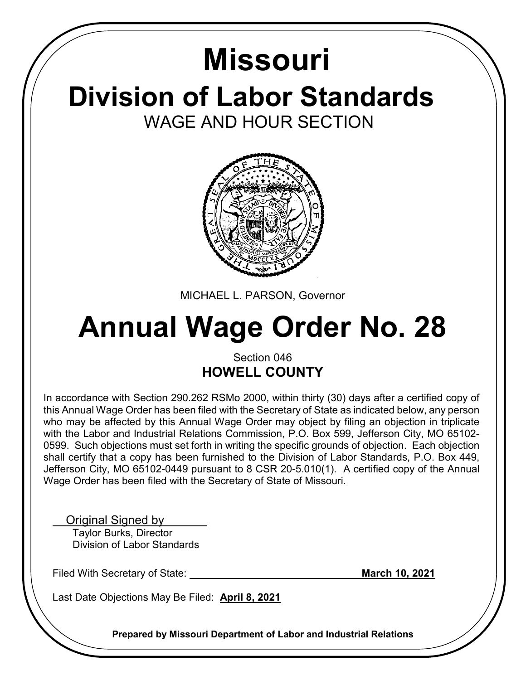## **Division of Labor Standards** WAGE AND HOUR SECTION **Missouri**



MICHAEL L. PARSON, Governor

# **Annual Wage Order No. 28**

### Section 046 **HOWELL COUNTY**

In accordance with Section 290.262 RSMo 2000, within thirty (30) days after a certified copy of this Annual Wage Order has been filed with the Secretary of State as indicated below, any person who may be affected by this Annual Wage Order may object by filing an objection in triplicate with the Labor and Industrial Relations Commission, P.O. Box 599, Jefferson City, MO 65102- 0599. Such objections must set forth in writing the specific grounds of objection. Each objection shall certify that a copy has been furnished to the Division of Labor Standards, P.O. Box 449, Jefferson City, MO 65102-0449 pursuant to 8 CSR 20-5.010(1). A certified copy of the Annual Wage Order has been filed with the Secretary of State of Missouri.

Original Signed by

 Taylor Burks, Director Division of Labor Standards

Filed With Secretary of State: **March 10, 2021** 

Last Date Objections May Be Filed: **April 8, 2021**

**Prepared by Missouri Department of Labor and Industrial Relations**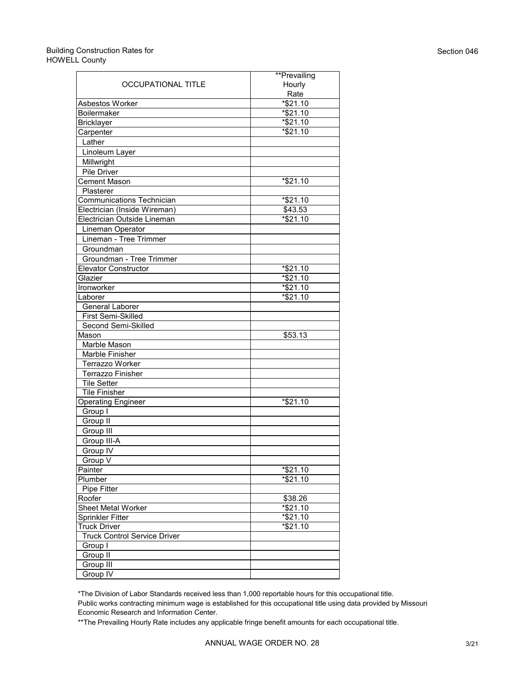#### Building Construction Rates for HOWELL County

|                                     | **Prevailing     |
|-------------------------------------|------------------|
| OCCUPATIONAL TITLE                  | Hourly           |
|                                     | Rate             |
| <b>Asbestos Worker</b>              | $*$ \$21.10      |
| <b>Boilermaker</b>                  | $*$ \$21.10      |
| <b>Bricklayer</b>                   | *\$21.10         |
| Carpenter                           | *\$21.10         |
| Lather                              |                  |
| Linoleum Layer                      |                  |
| Millwright                          |                  |
| Pile Driver                         |                  |
| <b>Cement Mason</b>                 | *\$21.10         |
| Plasterer                           |                  |
| <b>Communications Technician</b>    | *\$21.10         |
| Electrician (Inside Wireman)        | \$43.53          |
| Electrician Outside Lineman         | *\$21.10         |
| Lineman Operator                    |                  |
| Lineman - Tree Trimmer              |                  |
| Groundman                           |                  |
| Groundman - Tree Trimmer            |                  |
| <b>Elevator Constructor</b>         | *\$21.10         |
| Glazier                             | *\$21.10         |
| Ironworker                          | $*$ \$21.10      |
| I aborer                            | $*$ \$21.10      |
| General Laborer                     |                  |
| First Semi-Skilled                  |                  |
| Second Semi-Skilled                 |                  |
| Mason                               | \$53.13          |
| Marble Mason                        |                  |
| Marble Finisher                     |                  |
| <b>Terrazzo Worker</b>              |                  |
| <b>Terrazzo Finisher</b>            |                  |
| <b>Tile Setter</b>                  |                  |
| <b>Tile Finisher</b>                |                  |
| <b>Operating Engineer</b>           | $\sqrt*$ \$21.10 |
| Group I                             |                  |
| Group II                            |                  |
| Group III                           |                  |
| Group III-A                         |                  |
| Group IV                            |                  |
| Group V                             |                  |
| Painter                             | *\$21.10         |
| Plumber                             | *\$21.10         |
| <b>Pipe Fitter</b>                  |                  |
| Roofer                              | \$38.26          |
| <b>Sheet Metal Worker</b>           | *\$21.10         |
| <b>Sprinkler Fitter</b>             | $*$ \$21.10      |
| <b>Truck Driver</b>                 | $*$ \$21.10      |
| <b>Truck Control Service Driver</b> |                  |
| Group I                             |                  |
| Group II                            |                  |
| Group III                           |                  |
| Group IV                            |                  |

\*The Division of Labor Standards received less than 1,000 reportable hours for this occupational title.

Public works contracting minimum wage is established for this occupational title using data provided by Missouri Economic Research and Information Center.

\*\*The Prevailing Hourly Rate includes any applicable fringe benefit amounts for each occupational title.

Section 046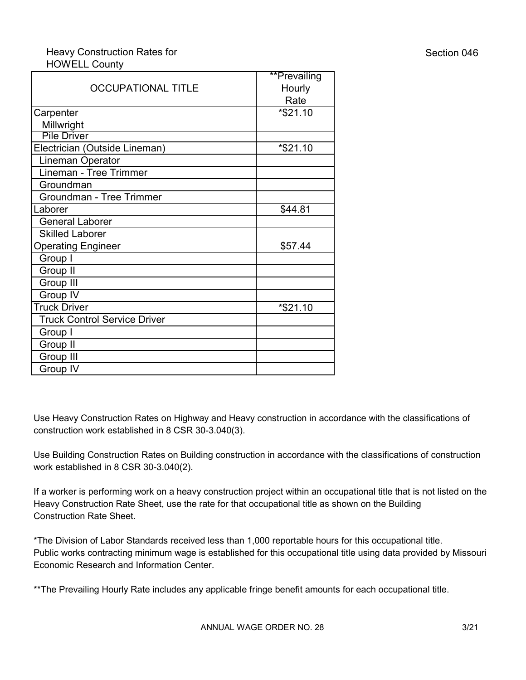#### Heavy Construction Rates for HOWELL County

|                                     | **Prevailing |
|-------------------------------------|--------------|
| <b>OCCUPATIONAL TITLE</b>           | Hourly       |
|                                     | Rate         |
| Carpenter                           | *\$21.10     |
| Millwright                          |              |
| <b>Pile Driver</b>                  |              |
| Electrician (Outside Lineman)       | *\$21.10     |
| Lineman Operator                    |              |
| Lineman - Tree Trimmer              |              |
| Groundman                           |              |
| Groundman - Tree Trimmer            |              |
| Laborer                             | \$44.81      |
| <b>General Laborer</b>              |              |
| <b>Skilled Laborer</b>              |              |
| <b>Operating Engineer</b>           | \$57.44      |
| Group I                             |              |
| Group II                            |              |
| Group III                           |              |
| Group IV                            |              |
| <b>Truck Driver</b>                 | *\$21.10     |
| <b>Truck Control Service Driver</b> |              |
| Group I                             |              |
| Group II                            |              |
| Group III                           |              |
| Group IV                            |              |

Use Heavy Construction Rates on Highway and Heavy construction in accordance with the classifications of construction work established in 8 CSR 30-3.040(3).

Use Building Construction Rates on Building construction in accordance with the classifications of construction work established in 8 CSR 30-3.040(2).

If a worker is performing work on a heavy construction project within an occupational title that is not listed on the Heavy Construction Rate Sheet, use the rate for that occupational title as shown on the Building Construction Rate Sheet.

\*The Division of Labor Standards received less than 1,000 reportable hours for this occupational title. Public works contracting minimum wage is established for this occupational title using data provided by Missouri Economic Research and Information Center.

\*\*The Prevailing Hourly Rate includes any applicable fringe benefit amounts for each occupational title.